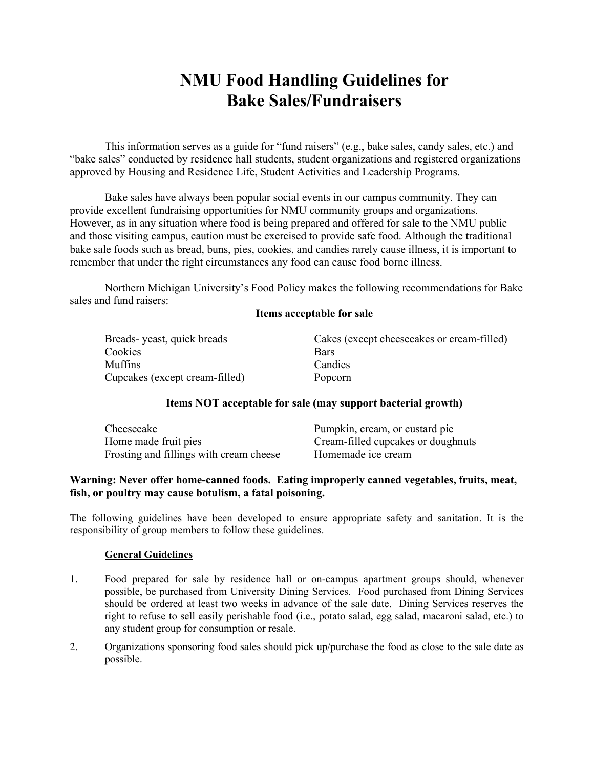# **NMU Food Handling Guidelines for Bake Sales/Fundraisers**

This information serves as a guide for "fund raisers" (e.g., bake sales, candy sales, etc.) and "bake sales" conducted by residence hall students, student organizations and registered organizations approved by Housing and Residence Life, Student Activities and Leadership Programs.

Bake sales have always been popular social events in our campus community. They can provide excellent fundraising opportunities for NMU community groups and organizations. However, as in any situation where food is being prepared and offered for sale to the NMU public and those visiting campus, caution must be exercised to provide safe food. Although the traditional bake sale foods such as bread, buns, pies, cookies, and candies rarely cause illness, it is important to remember that under the right circumstances any food can cause food borne illness.

Northern Michigan University's Food Policy makes the following recommendations for Bake sales and fund raisers:

#### **Items acceptable for sale**

| Breads-yeast, quick breads     | Cakes (except cheesecakes or cream-filled) |
|--------------------------------|--------------------------------------------|
| Cookies                        | <b>Bars</b>                                |
| Muffins                        | Candies                                    |
| Cupcakes (except cream-filled) | Popcorn                                    |

## **Items NOT acceptable for sale (may support bacterial growth)**

| Cheesecake                              | Pumpkin, cream, or custard pie     |
|-----------------------------------------|------------------------------------|
| Home made fruit pies                    | Cream-filled cupcakes or doughnuts |
| Frosting and fillings with cream cheese | Homemade ice cream                 |

## **Warning: Never offer home-canned foods. Eating improperly canned vegetables, fruits, meat, fish, or poultry may cause botulism, a fatal poisoning.**

The following guidelines have been developed to ensure appropriate safety and sanitation. It is the responsibility of group members to follow these guidelines.

#### **General Guidelines**

- 1. Food prepared for sale by residence hall or on-campus apartment groups should, whenever possible, be purchased from University Dining Services. Food purchased from Dining Services should be ordered at least two weeks in advance of the sale date. Dining Services reserves the right to refuse to sell easily perishable food (i.e., potato salad, egg salad, macaroni salad, etc.) to any student group for consumption or resale.
- 2. Organizations sponsoring food sales should pick up/purchase the food as close to the sale date as possible.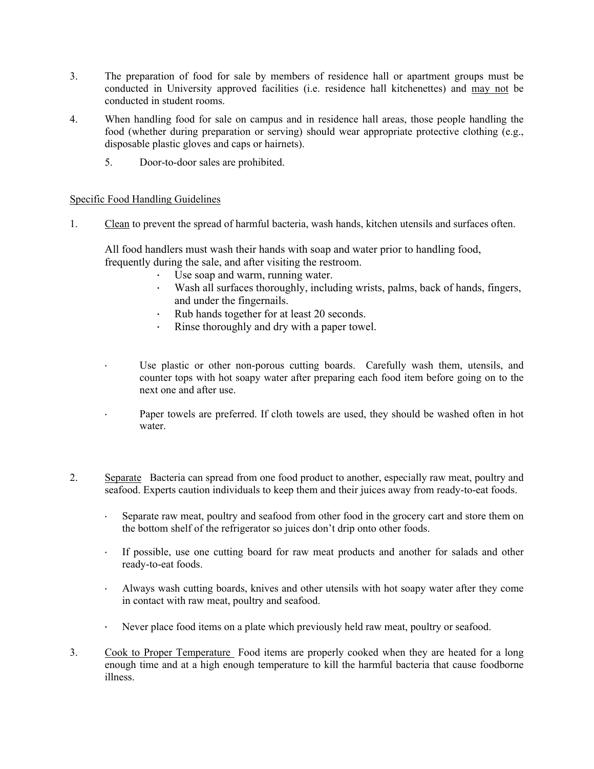- 3. The preparation of food for sale by members of residence hall or apartment groups must be conducted in University approved facilities (i.e. residence hall kitchenettes) and may not be conducted in student rooms.
- 4. When handling food for sale on campus and in residence hall areas, those people handling the food (whether during preparation or serving) should wear appropriate protective clothing (e.g., disposable plastic gloves and caps or hairnets).
	- 5. Door-to-door sales are prohibited.

## Specific Food Handling Guidelines

1. Clean to prevent the spread of harmful bacteria, wash hands, kitchen utensils and surfaces often.

All food handlers must wash their hands with soap and water prior to handling food, frequently during the sale, and after visiting the restroom.

- Use soap and warm, running water.
- Wash all surfaces thoroughly, including wrists, palms, back of hands, fingers, and under the fingernails.
- Rub hands together for at least 20 seconds.
- Rinse thoroughly and dry with a paper towel.
- Use plastic or other non-porous cutting boards. Carefully wash them, utensils, and counter tops with hot soapy water after preparing each food item before going on to the next one and after use.
- Paper towels are preferred. If cloth towels are used, they should be washed often in hot water.
- 2. Separate Bacteria can spread from one food product to another, especially raw meat, poultry and seafood. Experts caution individuals to keep them and their juices away from ready-to-eat foods.
	- · Separate raw meat, poultry and seafood from other food in the grocery cart and store them on the bottom shelf of the refrigerator so juices don't drip onto other foods.
	- · If possible, use one cutting board for raw meat products and another for salads and other ready-to-eat foods.
	- · Always wash cutting boards, knives and other utensils with hot soapy water after they come in contact with raw meat, poultry and seafood.
	- · Never place food items on a plate which previously held raw meat, poultry or seafood.
- 3. Cook to Proper Temperature Food items are properly cooked when they are heated for a long enough time and at a high enough temperature to kill the harmful bacteria that cause foodborne illness.